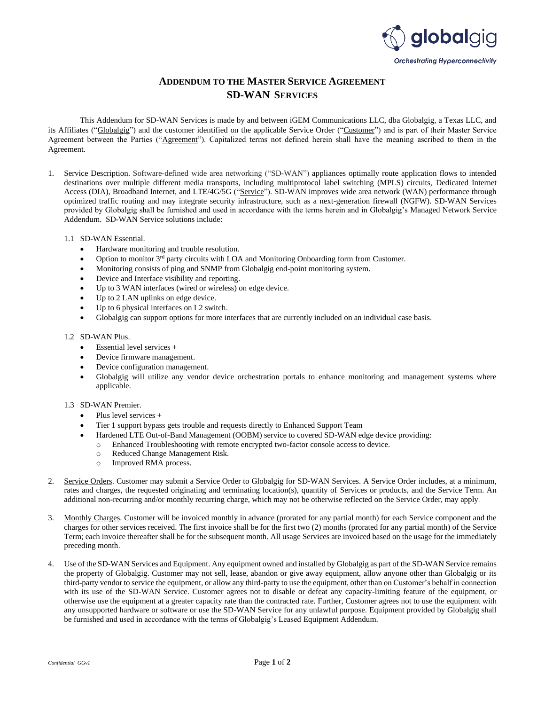

## **ADDENDUM TO THE MASTER SERVICE AGREEMENT SD-WAN SERVICES**

This Addendum for SD-WAN Services is made by and between iGEM Communications LLC, dba Globalgig, a Texas LLC, and its Affiliates ("Globalgig") and the customer identified on the applicable Service Order ("Customer") and is part of their Master Service Agreement between the Parties ("Agreement"). Capitalized terms not defined herein shall have the meaning ascribed to them in the Agreement.

- 1. Service Description. Software-defined wide area networking ("SD-WAN") appliances optimally route application flows to intended destinations over multiple different media transports, including multiprotocol label switching (MPLS) circuits, Dedicated Internet Access (DIA), Broadband Internet, and LTE/4G/5G ("Service"). SD-WAN improves wide area network (WAN) performance through optimized traffic routing and may integrate security infrastructure, such as a next-generation firewall (NGFW). SD-WAN Services provided by Globalgig shall be furnished and used in accordance with the terms herein and in Globalgig's Managed Network Service Addendum. SD-WAN Service solutions include:
	- 1.1 SD-WAN Essential.
		- Hardware monitoring and trouble resolution.
		- Option to monitor 3rd party circuits with LOA and Monitoring Onboarding form from Customer.
		- Monitoring consists of ping and SNMP from Globalgig end-point monitoring system.
		- Device and Interface visibility and reporting.
		- Up to 3 WAN interfaces (wired or wireless) on edge device.
		- Up to 2 LAN uplinks on edge device.
		- Up to 6 physical interfaces on L2 switch.
		- Globalgig can support options for more interfaces that are currently included on an individual case basis.

## 1.2 SD-WAN Plus.

- Essential level services +
- Device firmware management.
- Device configuration management.
- Globalgig will utilize any vendor device orchestration portals to enhance monitoring and management systems where applicable.

## 1.3 SD-WAN Premier.

- Plus level services +
- Tier 1 support bypass gets trouble and requests directly to Enhanced Support Team
- Hardened LTE Out-of-Band Management (OOBM) service to covered SD-WAN edge device providing:
	- o Enhanced Troubleshooting with remote encrypted two-factor console access to device.
	- o Reduced Change Management Risk.
	- o Improved RMA process.
- 2. Service Orders. Customer may submit a Service Order to Globalgig for SD-WAN Services. A Service Order includes, at a minimum, rates and charges, the requested originating and terminating location(s), quantity of Services or products, and the Service Term. An additional non-recurring and/or monthly recurring charge, which may not be otherwise reflected on the Service Order, may apply.
- 3. Monthly Charges. Customer will be invoiced monthly in advance (prorated for any partial month) for each Service component and the charges for other services received. The first invoice shall be for the first two (2) months (prorated for any partial month) of the Service Term; each invoice thereafter shall be for the subsequent month. All usage Services are invoiced based on the usage for the immediately preceding month.
- 4. Use of the SD-WAN Services and Equipment. Any equipment owned and installed by Globalgig as part of the SD-WAN Service remains the property of Globalgig. Customer may not sell, lease, abandon or give away equipment, allow anyone other than Globalgig or its third-party vendor to service the equipment, or allow any third-party to use the equipment, other than on Customer's behalf in connection with its use of the SD-WAN Service. Customer agrees not to disable or defeat any capacity-limiting feature of the equipment, or otherwise use the equipment at a greater capacity rate than the contracted rate. Further, Customer agrees not to use the equipment with any unsupported hardware or software or use the SD-WAN Service for any unlawful purpose. Equipment provided by Globalgig shall be furnished and used in accordance with the terms of Globalgig's Leased Equipment Addendum.